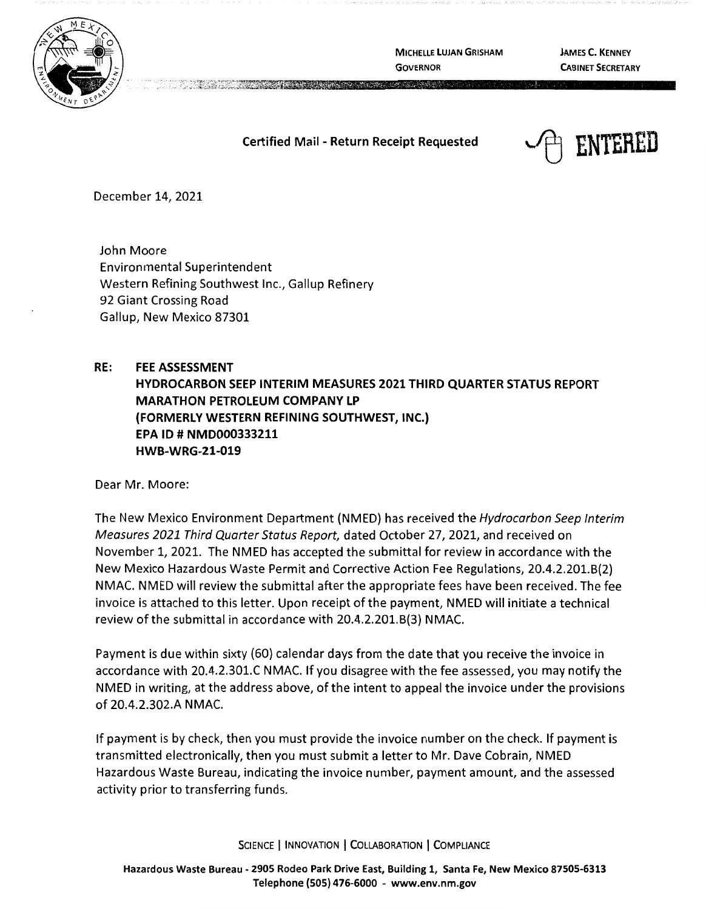**MICHELLE LUJAN GRISHAM GOVERNOR** 

**JAMES C. KENNEY CABINET SECRETARY** 

## **Certified Mail** - **Return Receipt Requested**



December 14, 2021

John Moore Environmental Superintendent Western Refining Southwest Inc., Gallup Refinery 92 Giant Crossing Road Gallup, New Mexico 87301

## **RE: FEE ASSESSMENT HYDROCARBON SEEP INTERIM MEASURES 2021 THIRD QUARTER STATUS REPORT MARATHON PETROLEUM COMPANY LP {FORMERLY WESTERN REFINING SOUTHWEST, INC.) EPA** ID # **NMD000333211 HWB-WRG-21-019**

Dear Mr. Moore:

The New Mexico Environment Department (NMED) has received the Hydrocarbon Seep Interim Measures 2021 Third Quarter Status Report, dated October 27, 2021, and received on November 1, 2021. The NMED has accepted the submittal for review in accordance with the New Mexico Hazardous Waste Permit and Corrective Action Fee Regulations, 20.4.2.201.B(2) NMAC. NMED will review the submittal after the appropriate fees have been received. The fee invoice is attached to this letter. Upon receipt of the payment, NMED will initiate a technical review of the submittal in accordance with 20.4.2.201.B(3) NMAC.

Payment is due within sixty (60) calendar days from the date that you receive the invoice in accordance with 20.4.2.301.C NMAC. If you disagree with the fee assessed, you may notify the NMED in writing, at the address above, of the intent to appeal the invoice under the provisions of 20.4.2.302.A NMAC.

If payment is by check, then you must provide the invoice number on the check. If payment is transmitted electronically, then you must submit a letter to Mr. Dave Cobrain, NMED Hazardous Waste Bureau, indicating the invoice number, payment amount, and the assessed activity prior to transferring funds.

SCIENCE | INNOVATION | COLLABORATION | COMPLIANCE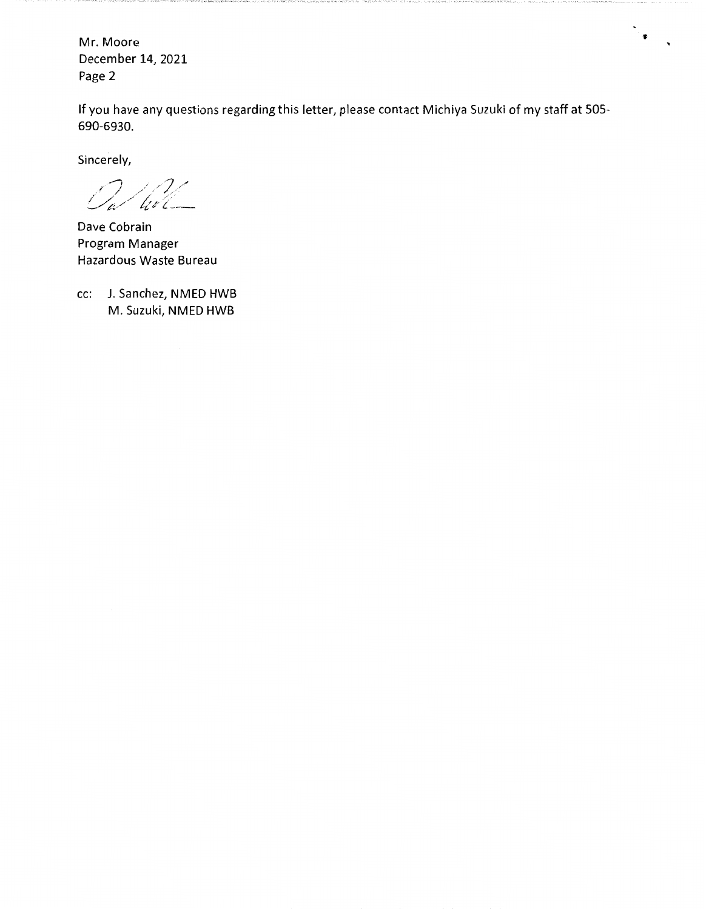Mr. Moore December 14, 2021 Page 2

If you have any questions regarding this letter, please contact Michiya Suzuki of my staff at 505- 690-6930.

 $\frac{1}{2}$  ,

Sincerely,

*11* , /7/" //4,,/'f:~✓ {. \_\_

Dave Cobrain Program Manager Hazardous Waste Bureau

cc: J. Sanchez, NMED HWB M. Suzuki, NMED HWB